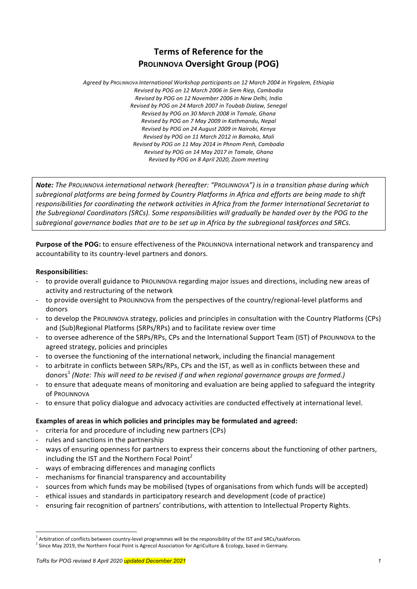# **Terms of Reference for the PROLINNOVA Oversight Group (POG)**

Agreed by PROLINNOVA International Workshop participants on 12 March 2004 in Yirgalem, Ethiopia *Revised by POG on 12 March 2006 in Siem Riep, Cambodia Revised by POG on 12 November 2006 in New Delhi, India Revised by POG on 24 March 2007 in Toubab Dialaw, Senegal Revised by POG on 30 March 2008 in Tamale, Ghana Revised by POG on 7 May 2009 in Kathmandu, Nepal Revised by POG on 24 August 2009 in Nairobi, Kenya Revised by POG on 11 March 2012 in Bamako, Mali Revised by POG on 11 May 2014 in Phnom Penh, Cambodia Revised by POG on 14 May 2017 in Tamale, Ghana Revised by POG on 8 April 2020, Zoom meeting*

**Note:** The PROLINNOVA international network (hereafter: "PROLINNOVA") is in a transition phase during which subregional platforms are being formed by Country Platforms in Africa and efforts are being made to shift responsibilities for coordinating the network activities in Africa from the former International Secretariat to the Subregional Coordinators *(SRCs).* Some responsibilities will gradually be handed over by the POG to the subregional governance bodies that are to be set up in Africa by the subregional taskforces and SRCs.

**Purpose of the POG:** to ensure effectiveness of the PROLINNOVA international network and transparency and accountability to its country-level partners and donors.

# **Responsibilities:**

- to provide overall guidance to PROLINNOVA regarding major issues and directions, including new areas of activity and restructuring of the network
- to provide oversight to ProLINNOVA from the perspectives of the country/regional-level platforms and donors
- to develop the ProLINNOVA strategy, policies and principles in consultation with the Country Platforms (CPs) and (Sub)Regional Platforms (SRPs/RPs) and to facilitate review over time
- to oversee adherence of the SRPs/RPs, CPs and the International Support Team (IST) of PROLINNOVA to the agreed strategy, policies and principles
- to oversee the functioning of the international network, including the financial management
- to arbitrate in conflicts between SRPs/RPs, CPs and the IST, as well as in conflicts between these and donors<sup>1</sup> (Note: This will need to be revised if and when regional governance groups are formed.)
- to ensure that adequate means of monitoring and evaluation are being applied to safeguard the integrity of PROLINNOVA
- to ensure that policy dialogue and advocacy activities are conducted effectively at international level.

# Examples of areas in which policies and principles may be formulated and agreed:

- criteria for and procedure of including new partners (CPs)
- rules and sanctions in the partnership
- ways of ensuring openness for partners to express their concerns about the functioning of other partners, including the IST and the Northern Focal Point<sup>2</sup>
- ways of embracing differences and managing conflicts
- mechanisms for financial transparency and accountability
- sources from which funds may be mobilised (types of organisations from which funds will be accepted)
- ethical issues and standards in participatory research and development (code of practice)
- ensuring fair recognition of partners' contributions, with attention to Intellectual Property Rights.

 $<sup>1</sup>$  Arbitration of conflicts between country-level programmes will be the responsibility of the IST and SRCs/taskforces.</sup>

<sup>&</sup>lt;sup>2</sup> Since May 2019, the Northern Focal Point is Agrecol Association for AgriCulture & Ecology, based in Germany.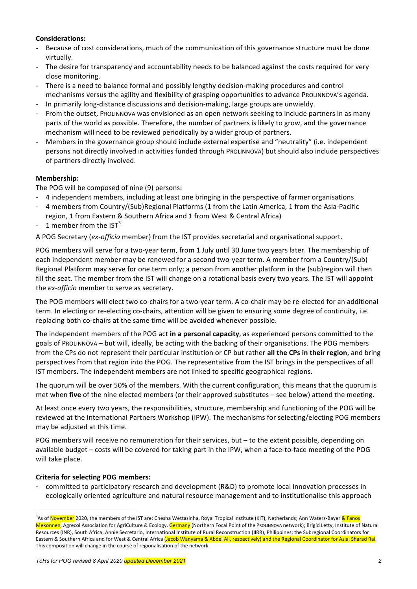# **Considerations:**

- Because of cost considerations, much of the communication of this governance structure must be done virtually.
- The desire for transparency and accountability needs to be balanced against the costs required for very close monitoring.
- There is a need to balance formal and possibly lengthy decision-making procedures and control mechanisms versus the agility and flexibility of grasping opportunities to advance PROLINNOVA's agenda.
- In primarily long-distance discussions and decision-making, large groups are unwieldy.
- From the outset, ProLINNOVA was envisioned as an open network seeking to include partners in as many parts of the world as possible. Therefore, the number of partners is likely to grow, and the governance mechanism will need to be reviewed periodically by a wider group of partners.
- Members in the governance group should include external expertise and "neutrality" (i.e. independent persons not directly involved in activities funded through PROLINNOVA) but should also include perspectives of partners directly involved.

# **Membership:**

The POG will be composed of nine (9) persons:

- 4 independent members, including at least one bringing in the perspective of farmer organisations
- 4 members from Country/(Sub)Regional Platforms (1 from the Latin America, 1 from the Asia-Pacific region, 1 from Eastern & Southern Africa and 1 from West & Central Africa)
- 1 member from the  $IST<sup>3</sup>$

A POG Secretary (ex-officio member) from the IST provides secretarial and organisational support.

POG members will serve for a two-year term, from 1 July until 30 June two years later. The membership of each independent member may be renewed for a second two-year term. A member from a Country/(Sub) Regional Platform may serve for one term only; a person from another platform in the (sub)region will then fill the seat. The member from the IST will change on a rotational basis every two years. The IST will appoint the *ex-officio* member to serve as secretary.

The POG members will elect two co-chairs for a two-year term. A co-chair may be re-elected for an additional term. In electing or re-electing co-chairs, attention will be given to ensuring some degree of continuity, i.e. replacing both co-chairs at the same time will be avoided whenever possible.

The independent members of the POG act **in a personal capacity**, as experienced persons committed to the goals of Prounnova – but will, ideally, be acting with the backing of their organisations. The POG members from the CPs do not represent their particular institution or CP but rather all the CPs in their region, and bring perspectives from that region into the POG. The representative from the IST brings in the perspectives of all IST members. The independent members are not linked to specific geographical regions.

The quorum will be over 50% of the members. With the current configuration, this means that the quorum is met when **five** of the nine elected members (or their approved substitutes – see below) attend the meeting.

At least once every two years, the responsibilities, structure, membership and functioning of the POG will be reviewed at the International Partners Workshop (IPW). The mechanisms for selecting/electing POG members may be adjusted at this time.

POG members will receive no remuneration for their services, but – to the extent possible, depending on available budget – costs will be covered for taking part in the IPW, when a face-to-face meeting of the POG will take place.

# **Criteria for selecting POG members:**

committed to participatory research and development (R&D) to promote local innovation processes in ecologically oriented agriculture and natural resource management and to institutionalise this approach

<sup>-&</sup>lt;br>3 <sup>3</sup>As of November 2020, the members of the IST are: Chesha Wettasinha, Royal Tropical Institute (KIT), Netherlands; Ann Waters-Bayer & Fanos Mekonnen, Agrecol Association for AgriCulture & Ecology, Germany (Northern Focal Point of the PROLINNOVA network); Brigid Letty, Institute of Natural Resources (INR), South Africa; Annie Secretario, International Institute of Rural Reconstruction (IIRR), Philippines; the Subregional Coordinators for Eastern & Southern Africa and for West & Central Africa (Jacob Wanyama & Abdel Ali, respectively) and the Regional Coordinator for Asia, Sharad Rai. This composition will change in the course of regionalisation of the network.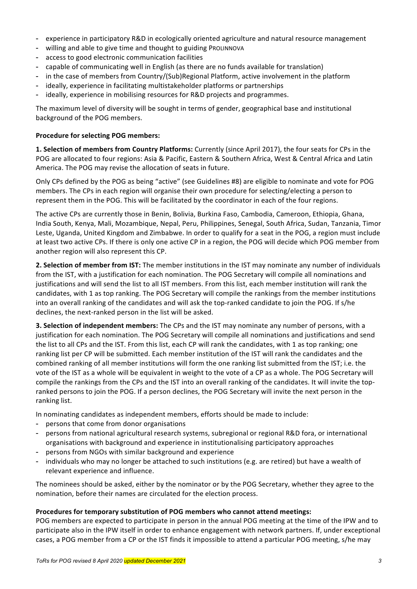- experience in participatory R&D in ecologically oriented agriculture and natural resource management
- willing and able to give time and thought to guiding PROLINNOVA
- access to good electronic communication facilities
- capable of communicating well in English (as there are no funds available for translation)
- in the case of members from Country/(Sub)Regional Platform, active involvement in the platform
- ideally, experience in facilitating multistakeholder platforms or partnerships
- ideally, experience in mobilising resources for R&D projects and programmes.

The maximum level of diversity will be sought in terms of gender, geographical base and institutional background of the POG members.

#### **Procedure for selecting POG members:**

**1. Selection of members from Country Platforms:** Currently (since April 2017), the four seats for CPs in the POG are allocated to four regions: Asia & Pacific, Eastern & Southern Africa, West & Central Africa and Latin America. The POG may revise the allocation of seats in future.

Only CPs defined by the POG as being "active" (see Guidelines #8) are eligible to nominate and vote for POG members. The CPs in each region will organise their own procedure for selecting/electing a person to represent them in the POG. This will be facilitated by the coordinator in each of the four regions.

The active CPs are currently those in Benin, Bolivia, Burkina Faso, Cambodia, Cameroon, Ethiopia, Ghana, India South, Kenya, Mali, Mozambique, Nepal, Peru, Philippines, Senegal, South Africa, Sudan, Tanzania, Timor Leste, Uganda, United Kingdom and Zimbabwe. In order to qualify for a seat in the POG, a region must include at least two active CPs. If there is only one active CP in a region, the POG will decide which POG member from another region will also represent this CP.

**2. Selection of member from IST:** The member institutions in the IST may nominate any number of individuals from the IST, with a justification for each nomination. The POG Secretary will compile all nominations and justifications and will send the list to all IST members. From this list, each member institution will rank the candidates, with 1 as top ranking. The POG Secretary will compile the rankings from the member institutions into an overall ranking of the candidates and will ask the top-ranked candidate to join the POG. If s/he declines, the next-ranked person in the list will be asked.

**3. Selection of independent members:** The CPs and the IST may nominate any number of persons, with a justification for each nomination. The POG Secretary will compile all nominations and justifications and send the list to all CPs and the IST. From this list, each CP will rank the candidates, with 1 as top ranking; one ranking list per CP will be submitted. Each member institution of the IST will rank the candidates and the combined ranking of all member institutions will form the one ranking list submitted from the IST; i.e. the vote of the IST as a whole will be equivalent in weight to the vote of a CP as a whole. The POG Secretary will compile the rankings from the CPs and the IST into an overall ranking of the candidates. It will invite the topranked persons to join the POG. If a person declines, the POG Secretary will invite the next person in the ranking list.

In nominating candidates as independent members, efforts should be made to include:

- persons that come from donor organisations
- persons from national agricultural research systems, subregional or regional R&D fora, or international organisations with background and experience in institutionalising participatory approaches
- persons from NGOs with similar background and experience
- individuals who may no longer be attached to such institutions (e.g. are retired) but have a wealth of relevant experience and influence.

The nominees should be asked, either by the nominator or by the POG Secretary, whether they agree to the nomination, before their names are circulated for the election process.

#### **Procedures for temporary substitution of POG members who cannot attend meetings:**

POG members are expected to participate in person in the annual POG meeting at the time of the IPW and to participate also in the IPW itself in order to enhance engagement with network partners. If, under exceptional cases, a POG member from a CP or the IST finds it impossible to attend a particular POG meeting, s/he may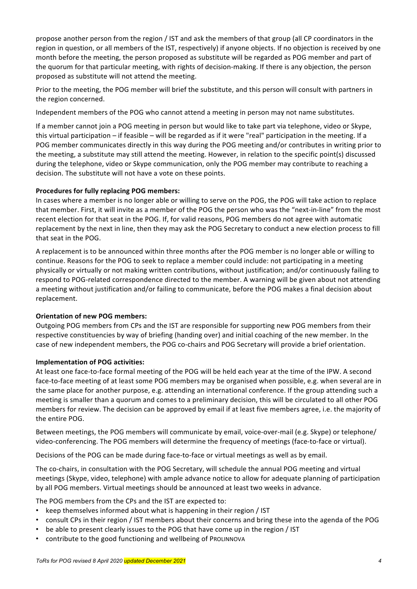propose another person from the region / IST and ask the members of that group (all CP coordinators in the region in question, or all members of the IST, respectively) if anyone objects. If no objection is received by one month before the meeting, the person proposed as substitute will be regarded as POG member and part of the quorum for that particular meeting, with rights of decision-making. If there is any objection, the person proposed as substitute will not attend the meeting.

Prior to the meeting, the POG member will brief the substitute, and this person will consult with partners in the region concerned.

Independent members of the POG who cannot attend a meeting in person may not name substitutes.

If a member cannot join a POG meeting in person but would like to take part via telephone, video or Skype, this virtual participation – if feasible – will be regarded as if it were "real" participation in the meeting. If a POG member communicates directly in this way during the POG meeting and/or contributes in writing prior to the meeting, a substitute may still attend the meeting. However, in relation to the specific point(s) discussed during the telephone, video or Skype communication, only the POG member may contribute to reaching a decision. The substitute will not have a vote on these points.

# Procedures for fully replacing POG members:

In cases where a member is no longer able or willing to serve on the POG, the POG will take action to replace that member. First, it will invite as a member of the POG the person who was the "next-in-line" from the most recent election for that seat in the POG. If, for valid reasons, POG members do not agree with automatic replacement by the next in line, then they may ask the POG Secretary to conduct a new election process to fill that seat in the POG.

A replacement is to be announced within three months after the POG member is no longer able or willing to continue. Reasons for the POG to seek to replace a member could include: not participating in a meeting physically or virtually or not making written contributions, without justification; and/or continuously failing to respond to POG-related correspondence directed to the member. A warning will be given about not attending a meeting without justification and/or failing to communicate, before the POG makes a final decision about replacement.

#### **Orientation of new POG members:**

Outgoing POG members from CPs and the IST are responsible for supporting new POG members from their respective constituencies by way of briefing (handing over) and initial coaching of the new member. In the case of new independent members, the POG co-chairs and POG Secretary will provide a brief orientation.

#### **Implementation of POG activities:**

At least one face-to-face formal meeting of the POG will be held each year at the time of the IPW. A second face-to-face meeting of at least some POG members may be organised when possible, e.g. when several are in the same place for another purpose, e.g. attending an international conference. If the group attending such a meeting is smaller than a quorum and comes to a preliminary decision, this will be circulated to all other POG members for review. The decision can be approved by email if at least five members agree, i.e. the majority of the entire POG.

Between meetings, the POG members will communicate by email, voice-over-mail (e.g. Skype) or telephone/ video-conferencing. The POG members will determine the frequency of meetings (face-to-face or virtual).

Decisions of the POG can be made during face-to-face or virtual meetings as well as by email.

The co-chairs, in consultation with the POG Secretary, will schedule the annual POG meeting and virtual meetings (Skype, video, telephone) with ample advance notice to allow for adequate planning of participation by all POG members. Virtual meetings should be announced at least two weeks in advance.

The POG members from the CPs and the IST are expected to:

- keep themselves informed about what is happening in their region / IST
- consult CPs in their region / IST members about their concerns and bring these into the agenda of the POG
- be able to present clearly issues to the POG that have come up in the region / IST
- contribute to the good functioning and wellbeing of PROLINNOVA